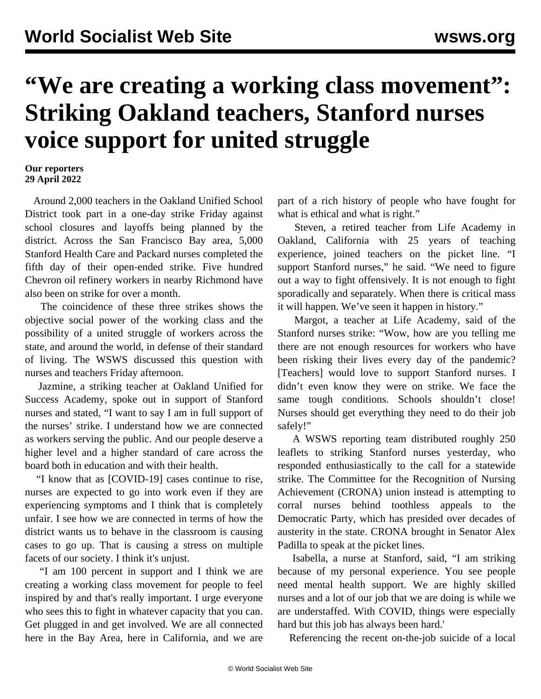## **"We are creating a working class movement": Striking Oakland teachers, Stanford nurses voice support for united struggle**

## **Our reporters 29 April 2022**

 Around 2,000 teachers in the Oakland Unified School District took part in a one-day strike Friday against school closures and layoffs being planned by the district. Across the San Francisco Bay area, 5,000 Stanford Health Care and Packard nurses completed the fifth day of their open-ended strike. Five hundred Chevron oil refinery workers in nearby Richmond have also been on strike for over a month.

 The coincidence of these three strikes shows the objective social power of the working class and the possibility of a united struggle of workers across the state, and around the world, in defense of their standard of living. The WSWS discussed this question with nurses and teachers Friday afternoon.

 [Jazmine,](https://twitter.com/WSWS_Healthcare/status/1520105538792484864?s=20&t=FZRrVgJdUBTOxKIxw0Si9w) a striking teacher at Oakland Unified for Success Academy, spoke out in support of Stanford nurses and stated, "I want to say I am in full support of the nurses' strike. I understand how we are connected as workers serving the public. And our people deserve a higher level and a higher standard of care across the board both in education and with their health.

 "I know that as [COVID-19] cases continue to rise, nurses are expected to go into work even if they are experiencing symptoms and I think that is completely unfair. I see how we are connected in terms of how the district wants us to behave in the classroom is causing cases to go up. That is causing a stress on multiple facets of our society. I think it's unjust.

 "I am 100 percent in support and I think we are creating a working class movement for people to feel inspired by and that's really important. I urge everyone who sees this to fight in whatever capacity that you can. Get plugged in and get involved. We are all connected here in the Bay Area, here in California, and we are part of a rich history of people who have fought for what is ethical and what is right."

 Steven, a retired teacher from Life Academy in Oakland, California with 25 years of teaching experience, joined teachers on the picket line. "I support Stanford nurses," he said. "We need to figure out a way to fight offensively. It is not enough to fight sporadically and separately. When there is critical mass it will happen. We've seen it happen in history."

 Margot, a teacher at Life Academy, said of the Stanford nurses strike: "Wow, how are you telling me there are not enough resources for workers who have been risking their lives every day of the pandemic? [Teachers] would love to support Stanford nurses. I didn't even know they were on strike. We face the same tough conditions. Schools shouldn't close! Nurses should get everything they need to do their job safely!"

 A WSWS reporting team distributed roughly 250 leaflets to striking Stanford nurses yesterday, who responded enthusiastically to the call for a statewide strike. The Committee for the Recognition of Nursing Achievement (CRONA) union instead is attempting to corral nurses behind toothless appeals to the Democratic Party, which has presided over decades of austerity in the state. CRONA brought in Senator Alex Padilla to speak at the picket lines.

 Isabella, a nurse at Stanford, said, "I am striking because of my personal experience. You see people need mental health support. We are highly skilled nurses and a lot of our job that we are doing is while we are understaffed. With COVID, things were especially hard but this job has always been hard.'

Referencing the recent on-the-job suicide of a local